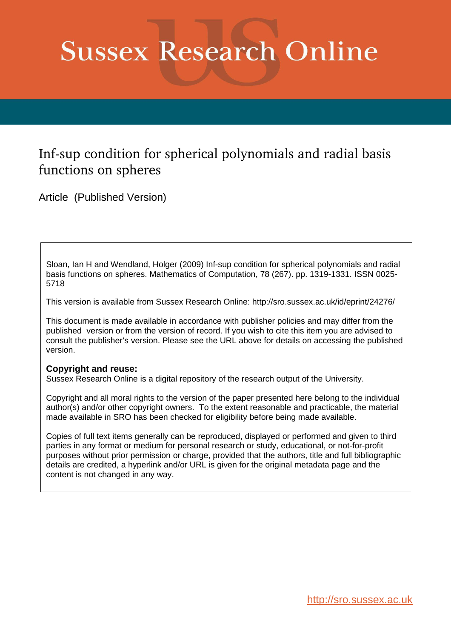# **Sussex Research Online**

# Inf-sup condition for spherical polynomials and radial basis functions on spheres

Article (Published Version)

Sloan, Ian H and Wendland, Holger (2009) Inf-sup condition for spherical polynomials and radial basis functions on spheres. Mathematics of Computation, 78 (267). pp. 1319-1331. ISSN 0025- 5718

This version is available from Sussex Research Online: http://sro.sussex.ac.uk/id/eprint/24276/

This document is made available in accordance with publisher policies and may differ from the published version or from the version of record. If you wish to cite this item you are advised to consult the publisher's version. Please see the URL above for details on accessing the published version.

# **Copyright and reuse:**

Sussex Research Online is a digital repository of the research output of the University.

Copyright and all moral rights to the version of the paper presented here belong to the individual author(s) and/or other copyright owners. To the extent reasonable and practicable, the material made available in SRO has been checked for eligibility before being made available.

Copies of full text items generally can be reproduced, displayed or performed and given to third parties in any format or medium for personal research or study, educational, or not-for-profit purposes without prior permission or charge, provided that the authors, title and full bibliographic details are credited, a hyperlink and/or URL is given for the original metadata page and the content is not changed in any way.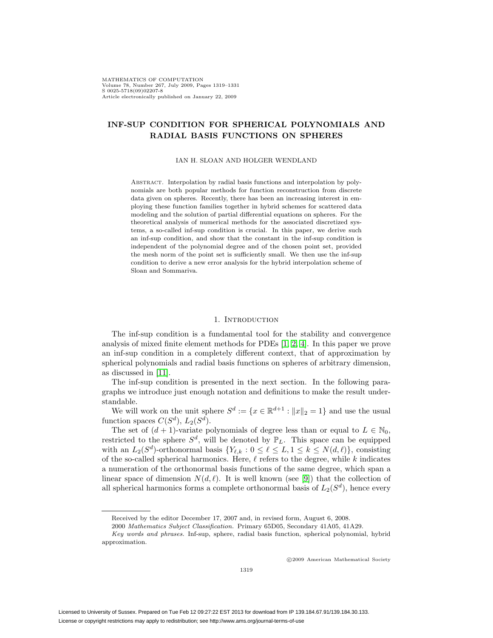# **INF-SUP CONDITION FOR SPHERICAL POLYNOMIALS AND RADIAL BASIS FUNCTIONS ON SPHERES**

#### IAN H. SLOAN AND HOLGER WENDLAND

ABSTRACT. Interpolation by radial basis functions and interpolation by polynomials are both popular methods for function reconstruction from discrete data given on spheres. Recently, there has been an increasing interest in employing these function families together in hybrid schemes for scattered data modeling and the solution of partial differential equations on spheres. For the theoretical analysis of numerical methods for the associated discretized systems, a so-called inf-sup condition is crucial. In this paper, we derive such an inf-sup condition, and show that the constant in the inf-sup condition is independent of the polynomial degree and of the chosen point set, provided the mesh norm of the point set is sufficiently small. We then use the inf-sup condition to derive a new error analysis for the hybrid interpolation scheme of Sloan and Sommariva.

### 1. INTRODUCTION

The inf-sup condition is a fundamental tool for the stability and convergence analysis of mixed finite element methods for PDEs [\[1,](#page-13-0) [2,](#page-13-1) [4\]](#page-13-2). In this paper we prove an inf-sup condition in a completely different context, that of approximation by spherical polynomials and radial basis functions on spheres of arbitrary dimension, as discussed in [\[11\]](#page-13-3).

The inf-sup condition is presented in the next section. In the following paragraphs we introduce just enough notation and definitions to make the result understandable.

We will work on the unit sphere  $S^d := \{x \in \mathbb{R}^{d+1} : ||x||_2 = 1\}$  and use the usual function spaces  $C(S^d)$ ,  $L_2(S^d)$ .

The set of  $(d + 1)$ -variate polynomials of degree less than or equal to  $L \in \mathbb{N}_0$ , restricted to the sphere  $S^d$ , will be denoted by  $\mathbb{P}_L$ . This space can be equipped with an  $L_2(S^d)$ -orthonormal basis  $\{Y_{\ell,k}: 0 \leq \ell \leq L, 1 \leq k \leq N(d,\ell)\}\)$ , consisting of the so-called spherical harmonics. Here,  $\ell$  refers to the degree, while k indicates a numeration of the orthonormal basis functions of the same degree, which span a linear space of dimension  $N(d, \ell)$ . It is well known (see [\[9\]](#page-13-4)) that the collection of all spherical harmonics forms a complete orthonormal basis of  $L_2(S^d)$ , hence every

c 2009 American Mathematical Society

Received by the editor December 17, 2007 and, in revised form, August 6, 2008.

<sup>2000</sup> Mathematics Subject Classification. Primary 65D05, Secondary 41A05, 41A29.

Key words and phrases. Inf-sup, sphere, radial basis function, spherical polynomial, hybrid approximation.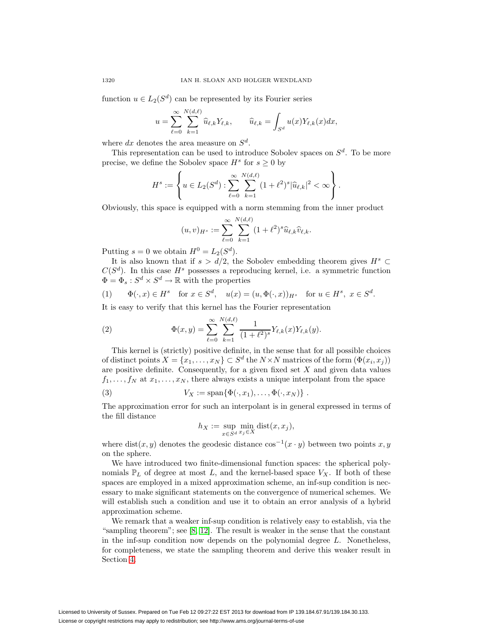function  $u \in L_2(S^d)$  can be represented by its Fourier series

$$
u = \sum_{\ell=0}^{\infty} \sum_{k=1}^{N(d,\ell)} \widehat{u}_{\ell,k} Y_{\ell,k}, \qquad \widehat{u}_{\ell,k} = \int_{S^d} u(x) Y_{\ell,k}(x) dx,
$$

where dx denotes the area measure on  $S^d$ .

This representation can be used to introduce Sobolev spaces on  $S^d$ . To be more precise, we define the Sobolev space  $H^s$  for  $s \geq 0$  by

$$
H^{s} := \left\{ u \in L_{2}(S^{d}) : \sum_{\ell=0}^{\infty} \sum_{k=1}^{N(d,\ell)} (1+\ell^{2})^{s} |\widehat{u}_{\ell,k}|^{2} < \infty \right\}.
$$

Obviously, this space is equipped with a norm stemming from the inner product

<span id="page-2-2"></span><span id="page-2-1"></span>
$$
(u,v)_{H^s} := \sum_{\ell=0}^{\infty} \sum_{k=1}^{N(d,\ell)} (1+\ell^2)^s \widehat{u}_{\ell,k} \widehat{v}_{\ell,k}.
$$

Putting  $s = 0$  we obtain  $H^0 = L_2(S^d)$ .

It is also known that if  $s > d/2$ , the Sobolev embedding theorem gives  $H^s$  ⊂  $C(S<sup>d</sup>)$ . In this case  $H<sup>s</sup>$  possesses a reproducing kernel, i.e. a symmetric function  $\Phi = \Phi_s : S^d \times S^d \to \mathbb{R}$  with the properties

(1) 
$$
\Phi(\cdot, x) \in H^s
$$
 for  $x \in S^d$ ,  $u(x) = (u, \Phi(\cdot, x))_{H^s}$  for  $u \in H^s$ ,  $x \in S^d$ .

It is easy to verify that this kernel has the Fourier representation

(2) 
$$
\Phi(x,y) = \sum_{\ell=0}^{\infty} \sum_{k=1}^{N(d,\ell)} \frac{1}{(1+\ell^2)^s} Y_{\ell,k}(x) Y_{\ell,k}(y).
$$

This kernel is (strictly) positive definite, in the sense that for all possible choices of distinct points  $X = \{x_1, \ldots, x_N\} \subset S^d$  the  $N \times N$  matrices of the form  $(\Phi(x_i, x_j))$ are positive definite. Consequently, for a given fixed set  $X$  and given data values  $f_1,\ldots,f_N$  at  $x_1,\ldots,x_N$ , there always exists a unique interpolant from the space

(3) 
$$
V_X := \text{span}\{\Phi(\cdot, x_1), \dots, \Phi(\cdot, x_N)\}.
$$

The approximation error for such an interpolant is in general expressed in terms of the fill distance

<span id="page-2-0"></span>
$$
h_X := \sup_{x \in S^d} \min_{x_j \in X} \text{dist}(x, x_j),
$$

where dist(x, y) denotes the geodesic distance  $\cos^{-1}(x \cdot y)$  between two points x, y on the sphere.

We have introduced two finite-dimensional function spaces: the spherical polynomials  $\mathbb{P}_L$  of degree at most L, and the kernel-based space  $V_X$ . If both of these spaces are employed in a mixed approximation scheme, an inf-sup condition is necessary to make significant statements on the convergence of numerical schemes. We will establish such a condition and use it to obtain an error analysis of a hybrid approximation scheme.

We remark that a weaker inf-sup condition is relatively easy to establish, via the "sampling theorem"; see [\[8,](#page-13-5) [12\]](#page-13-6). The result is weaker in the sense that the constant in the inf-sup condition now depends on the polynomial degree L. Nonetheless, for completeness, we state the sampling theorem and derive this weaker result in Section [4.](#page-6-0)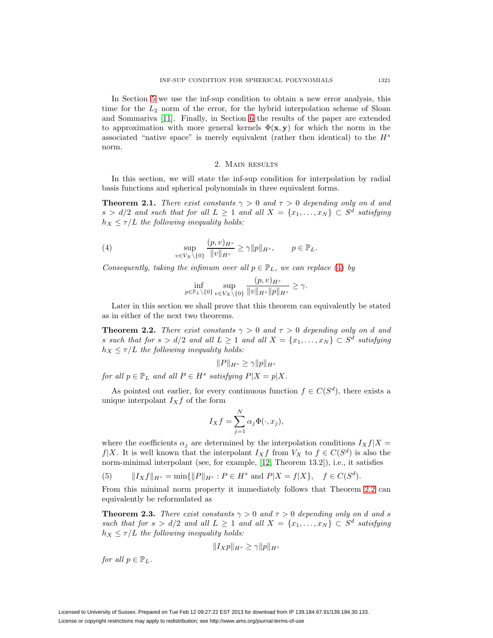In Section [5](#page-7-0) we use the inf-sup condition to obtain a new error analysis, this time for the  $L_2$  norm of the error, for the hybrid interpolation scheme of Sloan and Sommariva [\[11\]](#page-13-3). Finally, in Section [6](#page-11-0) the results of the paper are extended to approximation with more general kernels  $\Phi(\mathbf{x}, \mathbf{y})$  for which the norm in the associated "native space" is merely equivalent (rather then identical) to the  $H<sup>s</sup>$ norm.

# 2. Main results

<span id="page-3-2"></span>In this section, we will state the inf-sup condition for interpolation by radial basis functions and spherical polynomials in three equivalent forms.

**Theorem 2.1.** There exist constants  $\gamma > 0$  and  $\tau > 0$  depending only on d and  $s > d/2$  and such that for all  $L \geq 1$  and all  $X = \{x_1, \ldots, x_N\} \subset S^d$  satisfying  $h_X \leq \tau/L$  the following inequality holds:

<span id="page-3-0"></span>(4) 
$$
\sup_{v \in V_X \setminus \{0\}} \frac{(p,v)_{H^s}}{\|v\|_{H^s}} \ge \gamma \|p\|_{H^s}, \qquad p \in \mathbb{P}_L.
$$

Consequently, taking the infimum over all  $p \in \mathbb{P}_L$ , we can replace [\(4\)](#page-3-0) by

$$
\inf_{p\in\mathbb{P}_L\setminus\{0\}}\sup_{v\in V_X\setminus\{0\}}\frac{(p,v)_{H^s}}{\|v\|_{H^s}\|p\|_{H^s}}\geq\gamma.
$$

<span id="page-3-1"></span>Later in this section we shall prove that this theorem can equivalently be stated as in either of the next two theorems.

**Theorem 2.2.** There exist constants  $\gamma > 0$  and  $\tau > 0$  depending only on d and s such that for  $s > d/2$  and all  $L \geq 1$  and all  $X = \{x_1, \ldots, x_N\} \subset S^d$  satisfying  $h_X \leq \tau/L$  the following inequality holds:

$$
||P||_{H^s} \ge \gamma ||p||_{H^s}
$$

for all  $p \in \mathbb{P}_L$  and all  $P \in H^s$  satisfying  $P|X = p|X$ .

As pointed out earlier, for every continuous function  $f \in C(S^d)$ , there exists a unique interpolant  $I_Xf$  of the form

$$
I_X f = \sum_{j=1}^N \alpha_j \Phi(\cdot, x_j),
$$

where the coefficients  $\alpha_i$  are determined by the interpolation conditions  $I_Xf|X =$  $f|X$ . It is well known that the interpolant  $I_Xf$  from  $V_X$  to  $f \in C(S^d)$  is also the norm-minimal interpolant (see, for example, [\[12,](#page-13-6) Theorem 13.2]), i.e., it satisfies

(5) 
$$
||I_Xf||_{H^s} = \min{||P||_{H^s} : P \in H^s \text{ and } P|X = f|X}, \quad f \in C(S^d).
$$

<span id="page-3-3"></span>From this minimal norm property it immediately follows that Theorem [2.2](#page-3-1) can equivalently be reformulated as

**Theorem 2.3.** There exist constants  $\gamma > 0$  and  $\tau > 0$  depending only on d and s such that for  $s > d/2$  and all  $L \geq 1$  and all  $X = \{x_1, \ldots, x_N\} \subset S^d$  satisfying  $h_X \leq \tau/L$  the following inequality holds:

$$
||I_Xp||_{H^s} \ge \gamma ||p||_{H^s}
$$

for all  $p \in \mathbb{P}_L$ .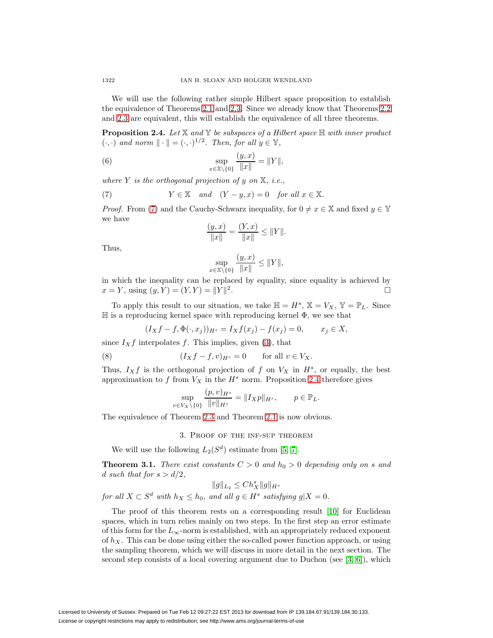We will use the following rather simple Hilbert space proposition to establish the equivalence of Theorems [2.1](#page-3-2) and [2.3.](#page-3-3) Since we already know that Theorems [2.2](#page-3-1) and [2.3](#page-3-3) are equivalent, this will establish the equivalence of all three theorems.

<span id="page-4-1"></span>**Proposition 2.4.** Let  $X$  and  $Y$  be subspaces of a Hilbert space  $H$  with inner product  $(\cdot, \cdot)$  and norm  $\|\cdot\| = (\cdot, \cdot)^{1/2}$ . Then, for all  $y \in \mathbb{Y}$ ,

(6) 
$$
\sup_{x \in \mathbb{X} \setminus \{0\}} \frac{(y, x)}{\|x\|} = \|Y\|,
$$

where Y is the orthogonal projection of y on  $\mathbb{X}$ , i.e.,

(7) 
$$
Y \in \mathbb{X}
$$
 and  $(Y - y, x) = 0$  for all  $x \in \mathbb{X}$ .

*Proof.* From [\(7\)](#page-4-0) and the Cauchy-Schwarz inequality, for  $0 \neq x \in \mathbb{X}$  and fixed  $y \in \mathbb{Y}$ we have

<span id="page-4-0"></span>
$$
\frac{(y,x)}{\|x\|} = \frac{(Y,x)}{\|x\|} \le \|Y\|.
$$

Thus,

$$
\sup_{x \in \mathbb{X} \setminus \{0\}} \frac{(y, x)}{\|x\|} \le \|Y\|,
$$

in which the inequality can be replaced by equality, since equality is achieved by  $x = Y$ , using  $(y, Y) = (Y, Y) = ||Y||$  $\overline{a}$ .

To apply this result to our situation, we take  $\mathbb{H} = H^s$ ,  $\mathbb{X} = V_X$ ,  $\mathbb{Y} = \mathbb{P}_L$ . Since  $\mathbb H$  is a reproducing kernel space with reproducing kernel  $\Phi$ , we see that

$$
(I_X f - f, \Phi(\cdot, x_j))_{H^s} = I_X f(x_j) - f(x_j) = 0, \qquad x_j \in X,
$$

since  $I_Xf$  interpolates f. This implies, given [\(3\)](#page-2-0), that

(8) 
$$
(I_Xf - f, v)_{H^s} = 0 \quad \text{for all } v \in V_X.
$$

Thus,  $I_X f$  is the orthogonal projection of f on  $V_X$  in  $H^s$ , or equally, the best approximation to  $f$  from  $V_X$  in the  $H^s$  norm. Proposition [2.4](#page-4-1) therefore gives

<span id="page-4-3"></span>
$$
\sup_{v \in V_X \setminus \{0\}} \frac{(p, v)_{H^s}}{\|v\|_{H^s}} = \|I_X p\|_{H^s}, \qquad p \in \mathbb{P}_L.
$$

The equivalence of Theorem [2.3](#page-3-3) and Theorem [2.1](#page-3-2) is now obvious.

3. Proof of the inf-sup theorem

We will use the following  $L_2(S^d)$  estimate from [\[5,](#page-13-7) [7\]](#page-13-8).

<span id="page-4-2"></span>**Theorem 3.1.** There exist constants  $C > 0$  and  $h_0 > 0$  depending only on s and d such that for  $s > d/2$ ,

$$
||g||_{L_2} \le Ch_X^s ||g||_{H^s}
$$
  
for all  $X \subset S^d$  with  $h_X \le h_0$ , and all  $g \in H^s$  satisfying  $g|X = 0$ .

The proof of this theorem rests on a corresponding result [\[10\]](#page-13-9) for Euclidean spaces, which in turn relies mainly on two steps. In the first step an error estimate of this form for the  $L_{\infty}$ -norm is established, with an appropriately reduced exponent of  $h_X$ . This can be done using either the so-called power function approach, or using the sampling theorem, which we will discuss in more detail in the next section. The second step consists of a local covering argument due to Duchon (see  $[3, 6]$  $[3, 6]$ ), which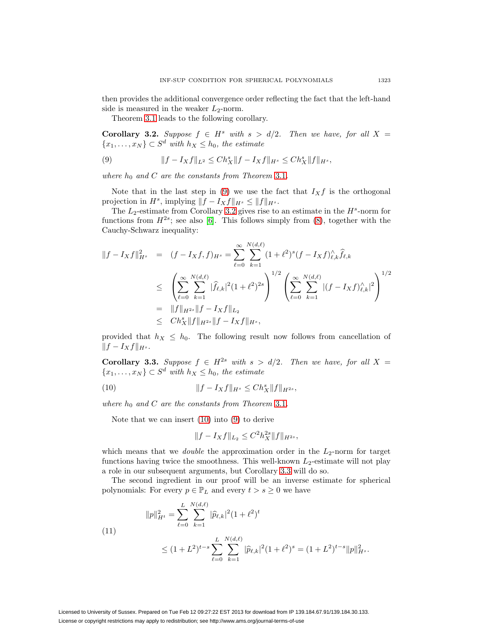then provides the additional convergence order reflecting the fact that the left-hand side is measured in the weaker  $L_2$ -norm.

<span id="page-5-0"></span>Theorem [3.1](#page-4-2) leads to the following corollary.

<span id="page-5-1"></span>**Corollary 3.2.** Suppose  $f \in H^s$  with  $s > d/2$ . Then we have, for all  $X =$  ${x_1,...,x_N} \subset S^d$  with  $h_X \leq h_0$ , the estimate

(9) 
$$
||f - I_Xf||_{L^2} \leq Ch_X^s ||f - I_Xf||_{H^s} \leq Ch_X^s ||f||_{H^s},
$$

where  $h_0$  and C are the constants from Theorem [3.1](#page-4-2).

Note that in the last step in [\(9\)](#page-5-0) we use the fact that  $I_Xf$  is the orthogonal projection in  $H^s$ , implying  $||f - I_Xf||_{H^s} \le ||f||_{H^s}$ .

The  $L_2$ -estimate from Corollary [3.2](#page-5-1) gives rise to an estimate in the  $H^s$ -norm for functions from  $H^{2s}$ ; see also [\[6\]](#page-13-11). This follows simply from [\(8\)](#page-4-3), together with the Cauchy-Schwarz inequality:

$$
||f - I_Xf||_{H^s}^2 = (f - I_Xf, f)_{H^s} = \sum_{\ell=0}^{\infty} \sum_{k=1}^{N(d,\ell)} (1 + \ell^2)^s (f - I_Xf)_{\ell,k}^{\wedge} \hat{f}_{\ell,k}
$$
  
\n
$$
\leq \left( \sum_{\ell=0}^{\infty} \sum_{k=1}^{N(d,\ell)} |\hat{f}_{\ell,k}|^2 (1 + \ell^2)^{2s} \right)^{1/2} \left( \sum_{\ell=0}^{\infty} \sum_{k=1}^{N(d,\ell)} |(f - I_Xf)_{\ell,k}^{\wedge}|^2 \right)^{1/2}
$$
  
\n
$$
= ||f||_{H^{2s}} ||f - I_Xf||_{L_2}
$$
  
\n
$$
\leq C h_X^s ||f||_{H^{2s}} ||f - I_Xf||_{H^s},
$$

<span id="page-5-3"></span>provided that  $h_X \leq h_0$ . The following result now follows from cancellation of  $||f - I_Xf||_{H^s}.$ 

**Corollary 3.3.** Suppose  $f \in H^{2s}$  with  $s > d/2$ . Then we have, for all  $X =$  ${x_1, \ldots, x_N} \subset S^d$  with  $h_X \leq h_0$ , the estimate

(10) 
$$
||f - I_Xf||_{H^s} \leq Ch_X^s ||f||_{H^{2s}},
$$

where  $h_0$  and C are the constants from Theorem [3.1](#page-4-2).

Note that we can insert [\(10\)](#page-5-2) into [\(9\)](#page-5-0) to derive

<span id="page-5-4"></span><span id="page-5-2"></span>
$$
||f - I_Xf||_{L_2} \le C^2 h_X^{2s} ||f||_{H^{2s}},
$$

which means that we *double* the approximation order in the  $L_2$ -norm for target functions having twice the smoothness. This well-known  $L_2$ -estimate will not play a role in our subsequent arguments, but Corollary [3.3](#page-5-3) will do so.

The second ingredient in our proof will be an inverse estimate for spherical polynomials: For every  $p \in \mathbb{P}_L$  and every  $t > s \geq 0$  we have

(11)  

$$
||p||_{H^t}^2 = \sum_{\ell=0}^L \sum_{k=1}^{N(d,\ell)} |\widehat{p}_{\ell,k}|^2 (1+\ell^2)^t
$$

$$
\leq (1+L^2)^{t-s} \sum_{\ell=0}^L \sum_{k=1}^{N(d,\ell)} |\widehat{p}_{\ell,k}|^2 (1+\ell^2)^s = (1+L^2)^{t-s} ||p||_{H^s}^2.
$$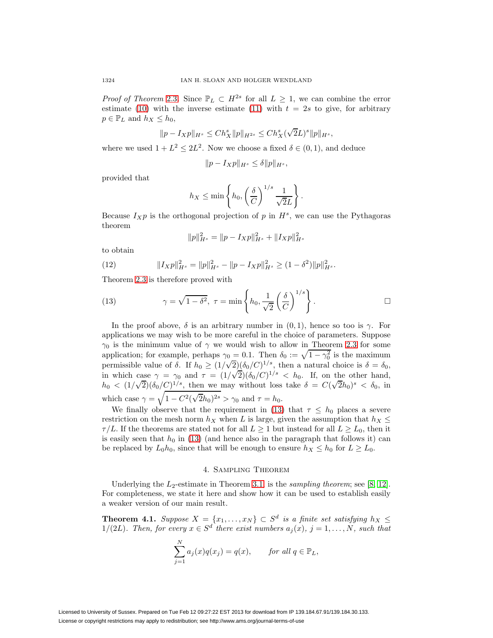*Proof of Theorem [2.3](#page-3-3).* Since  $\mathbb{P}_L \subset H^{2s}$  for all  $L \geq 1$ , we can combine the error estimate [\(10\)](#page-5-2) with the inverse estimate [\(11\)](#page-5-4) with  $t = 2s$  to give, for arbitrary  $p \in \mathbb{P}_L$  and  $h_X \leq h_0$ ,

$$
||p - I_Xp||_{H^s} \le Ch_X^s ||p||_{H^{2s}} \le Ch_X^s(\sqrt{2}L)^s ||p||_{H^s},
$$

where we used  $1 + L^2 \leq 2L^2$ . Now we choose a fixed  $\delta \in (0, 1)$ , and deduce

$$
||p - I_Xp||_{H^s} \le \delta ||p||_{H^s},
$$

provided that

$$
h_X \le \min\left\{h_0, \left(\frac{\delta}{C}\right)^{1/s} \frac{1}{\sqrt{2}L}\right\}.
$$

Because  $I_X p$  is the orthogonal projection of p in  $H^s$ , we can use the Pythagoras theorem

<span id="page-6-1"></span>
$$
||p||_{H^s}^2 = ||p - I_Xp||_{H^s}^2 + ||I_Xp||_{H^s}^2
$$

<span id="page-6-2"></span>to obtain

(12) 
$$
||I_Xp||_{H^s}^2 = ||p||_{H^s}^2 - ||p - I_Xp||_{H^s}^2 \ge (1 - \delta^2) ||p||_{H^s}^2.
$$

Theorem [2.3](#page-3-3) is therefore proved with

(13) 
$$
\gamma = \sqrt{1 - \delta^2}, \ \tau = \min\left\{h_0, \frac{1}{\sqrt{2}}\left(\frac{\delta}{C}\right)^{1/s}\right\}.
$$

In the proof above,  $\delta$  is an arbitrary number in  $(0, 1)$ , hence so too is  $\gamma$ . For applications we may wish to be more careful in the choice of parameters. Suppose  $\gamma_0$  is the minimum value of  $\gamma$  we would wish to allow in Theorem [2.3](#page-3-3) for some application; for example, perhaps  $\gamma_0 = 0.1$ . Then  $\delta_0 := \sqrt{1 - \gamma_0^2}$  is the maximum application, for example, perhaps  $\gamma_0 = 0.1$ . Then  $\sigma_0 := \sqrt{1 - \gamma_0}$  is the maximum permissible value of  $\delta$ . If  $h_0 \ge (1/\sqrt{2})(\delta_0/C)^{1/s}$ , then a natural choice is  $\delta = \delta_0$ , permissive value of 0. If  $n_0 \ge (1/\sqrt{2})(o_0/C)^{-\gamma}$ , then a natural choice is  $o = o_0$ ,<br>in which case  $\gamma = \gamma_0$  and  $\tau = (1/\sqrt{2})(\delta_0/C)^{1/s} < h_0$ . If, on the other hand, in which case  $\gamma = \gamma_0$  and  $\tau = (1/\sqrt{2})(\delta_0/C)$   $\gamma \leq n_0$ . It, on the other hand,<br>  $h_0 < (1/\sqrt{2})(\delta_0/C)^{1/s}$ , then we may without loss take  $\delta = C(\sqrt{2}h_0)^s < \delta_0$ , in which case  $\gamma = \sqrt{1 - C^2(\sqrt{2}h_0)^{2s}} > \gamma_0$  and  $\tau = h_0$ .

We finally observe that the requirement in [\(13\)](#page-6-1) that  $\tau \leq h_0$  places a severe restriction on the mesh norm  $h_X$  when L is large, given the assumption that  $h_X \leq$  $\tau/L$ . If the theorems are stated not for all  $L \geq 1$  but instead for all  $L \geq L_0$ , then it is easily seen that  $h_0$  in [\(13\)](#page-6-1) (and hence also in the paragraph that follows it) can be replaced by  $L_0 h_0$ , since that will be enough to ensure  $h_X \leq h_0$  for  $L \geq L_0$ .

# 4. Sampling Theorem

<span id="page-6-0"></span>Underlying the  $L_2$ -estimate in Theorem [3.1,](#page-4-2) is the *sampling theorem*; see [\[8,](#page-13-5) [12\]](#page-13-6). For completeness, we state it here and show how it can be used to establish easily a weaker version of our main result.

**Theorem 4.1.** Suppose  $X = \{x_1, \ldots, x_N\} \subset S^d$  is a finite set satisfying  $h_X \leq$ 1/(2L). Then, for every  $x \in S^d$  there exist numbers  $a_i(x)$ ,  $j = 1, \ldots, N$ , such that

$$
\sum_{j=1}^{N} a_j(x)q(x_j) = q(x), \quad \text{for all } q \in \mathbb{P}_L,
$$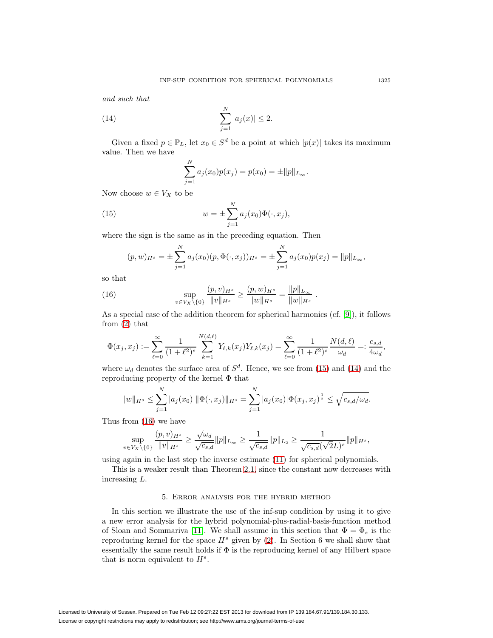<span id="page-7-2"></span>and such that

(14) 
$$
\sum_{j=1}^{N} |a_j(x)| \leq 2.
$$

Given a fixed  $p \in \mathbb{P}_L$ , let  $x_0 \in S^d$  be a point at which  $|p(x)|$  takes its maximum value. Then we have

$$
\sum_{j=1}^{N} a_j(x_0) p(x_j) = p(x_0) = \pm ||p||_{L_{\infty}}.
$$

<span id="page-7-1"></span>Now choose  $w \in V_X$  to be

(15) 
$$
w = \pm \sum_{j=1}^{N} a_j(x_0) \Phi(\cdot, x_j),
$$

where the sign is the same as in the preceding equation. Then

$$
(p, w)_{H^s} = \pm \sum_{j=1}^N a_j(x_0)(p, \Phi(\cdot, x_j))_{H^s} = \pm \sum_{j=1}^N a_j(x_0)p(x_j) = ||p||_{L_{\infty}},
$$

<span id="page-7-3"></span>so that

(16) 
$$
\sup_{v \in V_X \setminus \{0\}} \frac{(p, v)_{H^s}}{\|v\|_{H^s}} \ge \frac{(p, w)_{H^s}}{\|w\|_{H^s}} = \frac{\|p\|_{L_\infty}}{\|w\|_{H^s}}.
$$

As a special case of the addition theorem for spherical harmonics (cf.  $[9]$ ), it follows from [\(2\)](#page-2-1) that

$$
\Phi(x_j, x_j) := \sum_{\ell=0}^{\infty} \frac{1}{(1+\ell^2)^s} \sum_{k=1}^{N(d,\ell)} Y_{\ell,k}(x_j) Y_{\ell,k}(x_j) = \sum_{\ell=0}^{\infty} \frac{1}{(1+\ell^2)^s} \frac{N(d,\ell)}{\omega_d} =: \frac{c_{s,d}}{4\omega_d},
$$

where  $\omega_d$  denotes the surface area of  $S^d$ . Hence, we see from [\(15\)](#page-7-1) and [\(14\)](#page-7-2) and the reproducing property of the kernel Φ that

$$
||w||_{H^{s}} \leq \sum_{j=1}^{N} |a_{j}(x_{0})| ||\Phi(\cdot, x_{j})||_{H^{s}} = \sum_{j=1}^{N} |a_{j}(x_{0})| \Phi(x_{j}, x_{j})^{\frac{1}{2}} \leq \sqrt{c_{s, d}/\omega_{d}}.
$$

Thus from [\(16\)](#page-7-3) we have

$$
\sup_{v \in V_X \setminus \{0\}} \frac{(p, v)_{H^s}}{\|v\|_{H^s}} \ge \frac{\sqrt{\omega_d}}{\sqrt{c_{s,d}}} \|p\|_{L_\infty} \ge \frac{1}{\sqrt{c_{s,d}}} \|p\|_{L_2} \ge \frac{1}{\sqrt{c_{s,d}} (\sqrt{2}L)^s} \|p\|_{H^s},
$$

using again in the last step the inverse estimate [\(11\)](#page-5-4) for spherical polynomials.

<span id="page-7-0"></span>This is a weaker result than Theorem [2.1,](#page-3-2) since the constant now decreases with increasing L.

### 5. Error analysis for the hybrid method

In this section we illustrate the use of the inf-sup condition by using it to give a new error analysis for the hybrid polynomial-plus-radial-basis-function method of Sloan and Sommariva [\[11\]](#page-13-3). We shall assume in this section that  $\Phi = \Phi_s$  is the reproducing kernel for the space  $H^s$  given by [\(2\)](#page-2-1). In Section 6 we shall show that essentially the same result holds if  $\Phi$  is the reproducing kernel of any Hilbert space that is norm equivalent to  $H^s$ .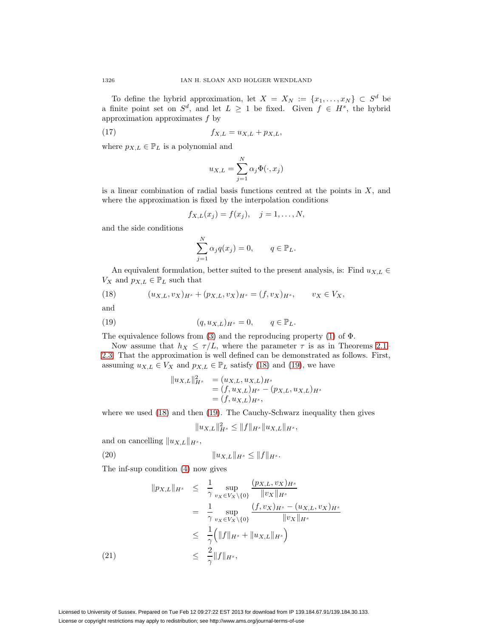To define the hybrid approximation, let  $X = X_N := \{x_1, \ldots, x_N\} \subset S^d$  be a finite point set on  $S^d$ , and let  $L \geq 1$  be fixed. Given  $f \in H^s$ , the hybrid approximation approximates  $f$  by

(17) 
$$
f_{X,L} = u_{X,L} + p_{X,L},
$$

where  $p_{X,L} \in \mathbb{P}_L$  is a polynomial and

<span id="page-8-4"></span>
$$
u_{X,L} = \sum_{j=1}^{N} \alpha_j \Phi(\cdot, x_j)
$$

is a linear combination of radial basis functions centred at the points in  $X$ , and where the approximation is fixed by the interpolation conditions

$$
f_{X,L}(x_j) = f(x_j), \quad j = 1, \ldots, N,
$$

and the side conditions

$$
\sum_{j=1}^{N} \alpha_j q(x_j) = 0, \qquad q \in \mathbb{P}_L.
$$

<span id="page-8-0"></span>An equivalent formulation, better suited to the present analysis, is: Find  $u_{X,L} \in$  $V_X$  and  $p_{X,L} \in \mathbb{P}_L$  such that

(18) 
$$
(u_{X,L}, v_X)_{H^s} + (p_{X,L}, v_X)_{H^s} = (f, v_X)_{H^s}, \qquad v_X \in V_X,
$$

<span id="page-8-1"></span>and

(19) 
$$
(q, u_{X,L})_{H^s} = 0, \qquad q \in \mathbb{P}_L.
$$

The equivalence follows from [\(3\)](#page-2-0) and the reproducing property [\(1\)](#page-2-2) of  $\Phi$ .

Now assume that  $h_X \leq \tau/L$ , where the parameter  $\tau$  is as in Theorems [2.1–](#page-3-2) [2.3.](#page-3-3) That the approximation is well defined can be demonstrated as follows. First, assuming  $u_{X,L} \in V_X$  and  $p_{X,L} \in \mathbb{P}_L$  satisfy [\(18\)](#page-8-0) and [\(19\)](#page-8-1), we have

$$
||u_{X,L}||_{H^s}^2 = (u_{X,L}, u_{X,L})_{H^s}
$$
  
=  $(f, u_{X,L})_{H^s} - (p_{X,L}, u_{X,L})_{H^s}$   
=  $(f, u_{X,L})_{H^s}$ ,

where we used [\(18\)](#page-8-0) and then [\(19\)](#page-8-1). The Cauchy-Schwarz inequality then gives

$$
u_{X,L}\|_{H^s}^2 \le \|f\|_{H^s} \|u_{X,L}\|_{H^s},
$$

<span id="page-8-2"></span>and on cancelling  $||u_{X,L}||_{H^s}$ ,

(20) 
$$
||u_{X,L}||_{H^s} \le ||f||_{H^s}.
$$

 $\parallel$ 

The inf-sup condition [\(4\)](#page-3-0) now gives

<span id="page-8-3"></span>
$$
\|p_{X,L}\|_{H^s} \leq \frac{1}{\gamma} \sup_{v_X \in V_X \setminus \{0\}} \frac{(p_{X,L}, v_X)_{H^s}}{\|v_X\|_{H^s}} \n= \frac{1}{\gamma} \sup_{v_X \in V_X \setminus \{0\}} \frac{(f, v_X)_{H^s} - (u_{X,L}, v_X)_{H^s}}{\|v_X\|_{H^s}} \n\leq \frac{1}{\gamma} \left(\|f\|_{H^s} + \|u_{X,L}\|_{H^s}\right) \n\leq \frac{2}{\gamma} \|f\|_{H^s},
$$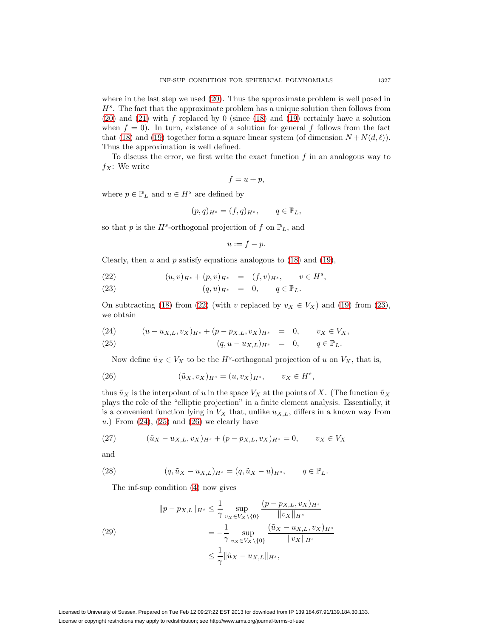where in the last step we used [\(20\)](#page-8-2). Thus the approximate problem is well posed in  $H<sup>s</sup>$ . The fact that the approximate problem has a unique solution then follows from  $(20)$  and  $(21)$  with f replaced by 0 (since  $(18)$  and  $(19)$  certainly have a solution when  $f = 0$ ). In turn, existence of a solution for general f follows from the fact that [\(18\)](#page-8-0) and [\(19\)](#page-8-1) together form a square linear system (of dimension  $N + N(d, \ell)$ ). Thus the approximation is well defined.

To discuss the error, we first write the exact function f in an analogous way to  $f_X$ : We write

$$
f = u + p,
$$

where  $p \in \mathbb{P}_L$  and  $u \in H^s$  are defined by

$$
(p,q)_{H^s} = (f,q)_{H^s}, \qquad q \in \mathbb{P}_L,
$$

so that p is the  $H^s$ -orthogonal projection of f on  $\mathbb{P}_L$ , and

<span id="page-9-2"></span>
$$
u:=f-p.
$$

Clearly, then  $u$  and  $p$  satisfy equations analogous to [\(18\)](#page-8-0) and [\(19\)](#page-8-1),

<span id="page-9-0"></span>(22) 
$$
(u,v)_{H^s} + (p,v)_{H^s} = (f,v)_{H^s}, \quad v \in H^s,
$$

(23) 
$$
(q, u)_{H^s} = 0, \qquad q \in \mathbb{P}_L.
$$

On subtracting [\(18\)](#page-8-0) from [\(22\)](#page-9-0) (with v replaced by  $v_X \in V_X$ ) and [\(19\)](#page-8-1) from [\(23\)](#page-9-0), we obtain

<span id="page-9-1"></span>(24) 
$$
(u - u_{X,L}, v_X)_{H^s} + (p - p_{X,L}, v_X)_{H^s} = 0, \qquad v_X \in V_X,
$$

(25) 
$$
(q, u - u_{X,L})_{H^s} = 0, \qquad q \in \mathbb{P}_L.
$$

Now define  $\tilde{u}_X \in V_X$  to be the  $H^s$ -orthogonal projection of u on  $V_X$ , that is,

(26) 
$$
(\tilde{u}_X, v_X)_{H^s} = (u, v_X)_{H^s}, \qquad v_X \in H^s,
$$

thus  $\tilde{u}_X$  is the interpolant of u in the space  $V_X$  at the points of X. (The function  $\tilde{u}_X$ plays the role of the "elliptic projection" in a finite element analysis. Essentially, it is a convenient function lying in  $V_X$  that, unlike  $u_{X,L}$ , differs in a known way from u.) From  $(24)$ ,  $(25)$  and  $(26)$  we clearly have

<span id="page-9-3"></span>(27) 
$$
(\tilde{u}_X - u_{X,L}, v_X)_{H^s} + (p - p_{X,L}, v_X)_{H^s} = 0, \qquad v_X \in V_X
$$

<span id="page-9-4"></span>and

(28) 
$$
(q, \tilde{u}_X - u_{X,L})_{H^s} = (q, \tilde{u}_X - u)_{H^s}, \qquad q \in \mathbb{P}_L.
$$

<span id="page-9-5"></span>The inf-sup condition [\(4\)](#page-3-0) now gives

(29)  

$$
||p - p_{X,L}||_{H^s} \le \frac{1}{\gamma} \sup_{v_X \in V_X \setminus \{0\}} \frac{(p - p_{X,L}, v_X)_{H^s}}{||v_X||_{H^s}}
$$

$$
= -\frac{1}{\gamma} \sup_{v_X \in V_X \setminus \{0\}} \frac{(\tilde{u}_X - u_{X,L}, v_X)_{H^s}}{||v_X||_{H^s}}
$$

$$
\le \frac{1}{\gamma} ||\tilde{u}_X - u_{X,L}||_{H^s},
$$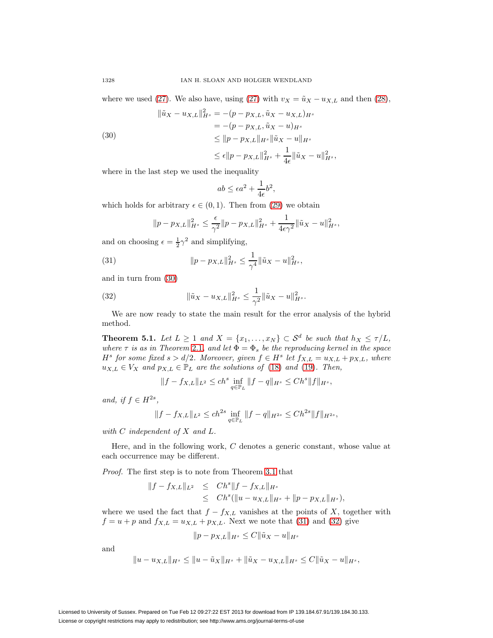where we used [\(27\)](#page-9-3). We also have, using (27) with  $v_X = \tilde{u}_X - u_{X,L}$  and then [\(28\)](#page-9-4),

$$
\|\tilde{u}_X - u_{X,L}\|_{H^s}^2 = -(p - p_{X,L}, \tilde{u}_X - u_{X,L})_{H^s}
$$
  
= -(p - p\_{X,L}, \tilde{u}\_X - u)\_{H^s}  

$$
\leq \|p - p_{X,L}\|_{H^s} \|\tilde{u}_X - u\|_{H^s}
$$
  

$$
\leq \epsilon \|p - p_{X,L}\|_{H^s}^2 + \frac{1}{4\epsilon} \|\tilde{u}_X - u\|_{H^s}^2,
$$

where in the last step we used the inequality

<span id="page-10-0"></span>
$$
ab \le \epsilon a^2 + \frac{1}{4\epsilon}b^2,
$$

which holds for arbitrary  $\epsilon \in (0,1)$ . Then from [\(29\)](#page-9-5) we obtain

<span id="page-10-1"></span>
$$
||p - p_{X,L}||_{H^s}^2 \le \frac{\epsilon}{\gamma^2} ||p - p_{X,L}||_{H^s}^2 + \frac{1}{4\epsilon\gamma^2} ||\tilde{u}_X - u||_{H^s}^2,
$$

and on choosing  $\epsilon = \frac{1}{2}\gamma^2$  and simplifying,

(31) 
$$
\|p - p_{X,L}\|_{H^s}^2 \leq \frac{1}{\gamma^4} \|\tilde{u}_X - u\|_{H^s}^2,
$$

<span id="page-10-2"></span>and in turn from [\(30\)](#page-10-0)

(32) 
$$
\|\tilde{u}_X - u_{X,L}\|_{H^s}^2 \leq \frac{1}{\gamma^2} \|\tilde{u}_X - u\|_{H^s}^2.
$$

<span id="page-10-3"></span>We are now ready to state the main result for the error analysis of the hybrid method.

**Theorem 5.1.** Let  $L \geq 1$  and  $X = \{x_1, \ldots, x_N\} \subset \mathcal{S}^d$  be such that  $h_X \leq \tau/L$ , where  $\tau$  is as in Theorem [2.1](#page-3-2), and let  $\Phi = \Phi_s$  be the reproducing kernel in the space  $H^s$  for some fixed  $s > d/2$ . Moreover, given  $f \in H^s$  let  $f_{X,L} = u_{X,L} + p_{X,L}$ , where  $u_{X,L} \in V_X$  and  $p_{X,L} \in \mathbb{P}_L$  are the solutions of [\(18\)](#page-8-0) and [\(19\)](#page-8-1). Then,

$$
\|f-f_{X,L}\|_{L^2}\leq ch^s\inf_{q\in \mathbb{P}_L}\|f-q\|_{H^s}\leq Ch^s\|f\|_{H^s},
$$

and, if  $f \in H^{2s}$ ,

$$
||f - f_{X,L}||_{L^2} \le ch^{2s} \inf_{q \in \mathbb{P}_L} ||f - q||_{H^{2s}} \le Ch^{2s} ||f||_{H^{2s}},
$$

with  $C$  independent of  $X$  and  $L$ .

Here, and in the following work, C denotes a generic constant, whose value at each occurrence may be different.

Proof. The first step is to note from Theorem [3.1](#page-4-2) that

$$
||f - f_{X,L}||_{L^2} \leq Ch^s ||f - f_{X,L}||_{H^s}
$$
  
 
$$
\leq Ch^s (||u - u_{X,L}||_{H^s} + ||p - p_{X,L}||_{H^s}),
$$

where we used the fact that  $f - f_{X,L}$  vanishes at the points of X, together with  $f = u + p$  and  $f_{X,L} = u_{X,L} + p_{X,L}$ . Next we note that [\(31\)](#page-10-1) and [\(32\)](#page-10-2) give

$$
||p - p_{X,L}||_{H^s} \le C ||\tilde{u}_X - u||_{H^s}
$$

and

$$
||u - u_{X,L}||_{H^s} \le ||u - \tilde{u}_X||_{H^s} + ||\tilde{u}_X - u_{X,L}||_{H^s} \le C ||\tilde{u}_X - u||_{H^s},
$$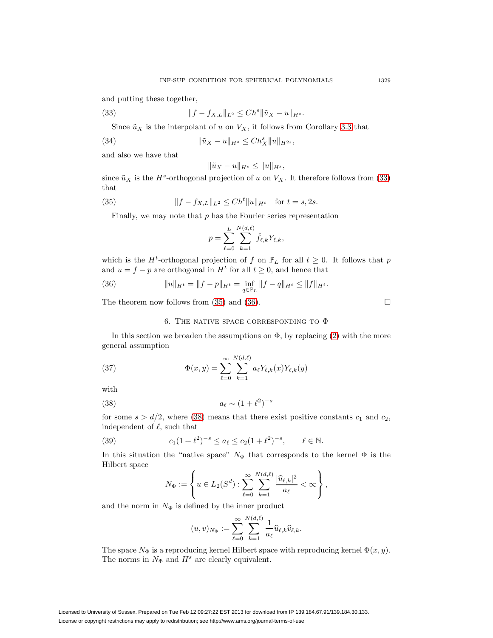<span id="page-11-1"></span>and putting these together,

(33) 
$$
||f - f_{X,L}||_{L^2} \leq Ch^s ||\tilde{u}_X - u||_{H^s}.
$$

Since  $\tilde{u}_X$  is the interpolant of u on  $V_X$ , it follows from Corollary [3.3](#page-5-3) that

(34) 
$$
\|\tilde{u}_X - u\|_{H^s} \leq Ch_X^s \|u\|_{H^{2s}},
$$

and also we have that

$$
\|\tilde{u}_X - u\|_{H^s} \le \|u\|_{H^s},
$$

<span id="page-11-2"></span>since  $\tilde{u}_X$  is the H<sup>s</sup>-orthogonal projection of u on  $V_X$ . It therefore follows from [\(33\)](#page-11-1) that

(35) 
$$
||f - f_{X,L}||_{L^2} \leq Ch^t ||u||_{H^t} \text{ for } t = s, 2s.
$$

Finally, we may note that  $p$  has the Fourier series representation

<span id="page-11-3"></span>
$$
p = \sum_{\ell=0}^{L} \sum_{k=1}^{N(d,\ell)} \hat{f}_{\ell,k} Y_{\ell,k},
$$

which is the  $H^t$ -orthogonal projection of f on  $\mathbb{P}_L$  for all  $t \geq 0$ . It follows that p and  $u = f - p$  are orthogonal in  $H^t$  for all  $t \geq 0$ , and hence that

(36) 
$$
||u||_{H^t} = ||f - p||_{H^t} = \inf_{q \in \mathbb{P}_L} ||f - q||_{H^t} \le ||f||_{H^t}.
$$

<span id="page-11-0"></span>The theorem now follows from [\(35\)](#page-11-2) and [\(36\)](#page-11-3).  $\Box$ 

## 6. THE NATIVE SPACE CORRESPONDING TO  $\Phi$

<span id="page-11-5"></span>In this section we broaden the assumptions on  $\Phi$ , by replacing [\(2\)](#page-2-1) with the more general assumption

(37) 
$$
\Phi(x,y) = \sum_{\ell=0}^{\infty} \sum_{k=1}^{N(d,\ell)} a_{\ell} Y_{\ell,k}(x) Y_{\ell,k}(y)
$$

<span id="page-11-4"></span>with

$$
(38)\qquad \qquad a_{\ell} \sim (1+\ell^2)^{-s}
$$

<span id="page-11-6"></span>for some  $s > d/2$ , where [\(38\)](#page-11-4) means that there exist positive constants  $c_1$  and  $c_2$ , independent of  $\ell$ , such that

(39) 
$$
c_1(1+\ell^2)^{-s} \le a_\ell \le c_2(1+\ell^2)^{-s}, \qquad \ell \in \mathbb{N}.
$$

In this situation the "native space"  $N_{\Phi}$  that corresponds to the kernel  $\Phi$  is the Hilbert space

$$
N_{\Phi} := \left\{ u \in L_2(S^d) : \sum_{\ell=0}^{\infty} \sum_{k=1}^{N(d,\ell)} \frac{|\widehat{u}_{\ell,k}|^2}{a_{\ell}} < \infty \right\},\,
$$

and the norm in  $N_{\Phi}$  is defined by the inner product

$$
(u,v)_{N_{\Phi}} := \sum_{\ell=0}^{\infty} \sum_{k=1}^{N(d,\ell)} \frac{1}{a_{\ell}} \widehat{u}_{\ell,k} \widehat{v}_{\ell,k}.
$$

The space  $N_{\Phi}$  is a reproducing kernel Hilbert space with reproducing kernel  $\Phi(x, y)$ . The norms in  $N_{\Phi}$  and  $H^s$  are clearly equivalent.

<span id="page-11-7"></span>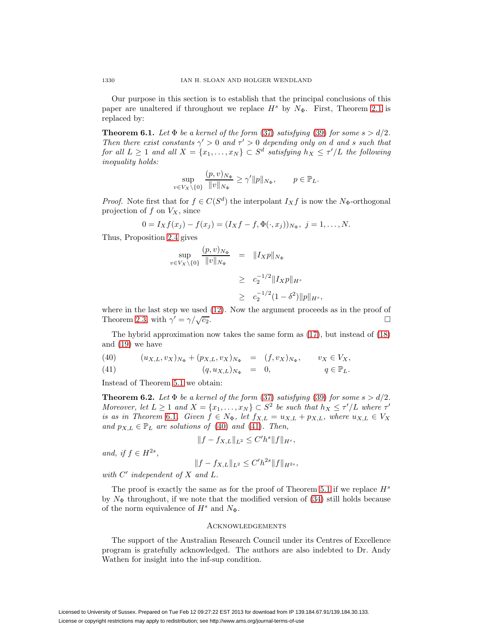Our purpose in this section is to establish that the principal conclusions of this paper are unaltered if throughout we replace  $H^s$  by  $N_{\Phi}$ . First, Theorem [2.1](#page-3-2) is replaced by:

<span id="page-12-0"></span>**Theorem 6.1.** Let  $\Phi$  be a kernel of the form [\(37\)](#page-11-5) satisfying [\(39\)](#page-11-6) for some  $s > d/2$ . Then there exist constants  $\gamma' > 0$  and  $\tau' > 0$  depending only on d and s such that for all  $L \geq 1$  and all  $X = \{x_1, \ldots, x_N\} \subset S^d$  satisfying  $h_X \leq \tau'/L$  the following inequality holds:

$$
\sup_{v \in V_X \setminus \{0\}} \frac{(p, v)_{N_{\Phi}}}{\|v\|_{N_{\Phi}}} \ge \gamma' \|p\|_{N_{\Phi}}, \qquad p \in \mathbb{P}_L.
$$

*Proof.* Note first that for  $f \in C(S^d)$  the interpolant  $I_X f$  is now the N<sub>Φ</sub>-orthogonal projection of  $f$  on  $V_X$ , since

$$
0 = I_X f(x_j) - f(x_j) = (I_X f - f, \Phi(\cdot, x_j))_{N_{\Phi}}, \ j = 1, \dots, N.
$$

Thus, Proposition [2.4](#page-4-1) gives

$$
\sup_{v \in V_X \setminus \{0\}} \frac{(p, v)_{N_{\Phi}}}{\|v\|_{N_{\Phi}}} = \|I_X p\|_{N_{\Phi}}
$$
  
\n
$$
\geq c_2^{-1/2} \|I_X p\|_{H^s}
$$
  
\n
$$
\geq c_2^{-1/2} (1 - \delta^2) \|p\|_{H^s},
$$

where in the last step we used  $(12)$ . Now the argument proceeds as in the proof of Theorem [2.3,](#page-3-3) with  $\gamma' = \gamma/\sqrt{c_2}$ .

The hybrid approximation now takes the same form as [\(17\)](#page-8-4), but instead of [\(18\)](#page-8-0) and [\(19\)](#page-8-1) we have

<span id="page-12-1"></span>(40) 
$$
(u_{X,L}, v_X)_{N_{\Phi}} + (p_{X,L}, v_X)_{N_{\Phi}} = (f, v_X)_{N_{\Phi}}, \qquad v_X \in V_X,
$$

(41) 
$$
(q, u_{X,L})_{N_{\Phi}} = 0, \qquad q \in \mathbb{P}_L.
$$

Instead of Theorem [5.1](#page-10-3) we obtain:

**Theorem 6.2.** Let  $\Phi$  be a kernel of the form [\(37\)](#page-11-5) satisfying [\(39\)](#page-11-6) for some  $s > d/2$ . Moreover, let  $L \geq 1$  and  $X = \{x_1, \ldots, x_N\} \subset S^2$  be such that  $h_X \leq \tau'/L$  where  $\tau'$ is as in Theorem [6.1](#page-12-0). Given  $f \in N_{\Phi}$ , let  $f_{X,L} = u_{X,L} + p_{X,L}$ , where  $u_{X,L} \in V_X$ and  $p_{X,L} \in \mathbb{P}_L$  are solutions of [\(40\)](#page-12-1) and [\(41\)](#page-12-1). Then,

$$
||f - f_{X,L}||_{L^2} \le C'h^s||f||_{H^s},
$$

and, if  $f \in H^{2s}$ ,

$$
||f - f_{X,L}||_{L^2} \le C'h^{2s}||f||_{H^{2s}},
$$

with  $C'$  independent of  $X$  and  $L$ .

The proof is exactly the same as for the proof of Theorem [5.1](#page-10-3) if we replace  $H^s$ by  $N_{\Phi}$  throughout, if we note that the modified version of [\(34\)](#page-11-7) still holds because of the norm equivalence of  $H^s$  and  $N_{\Phi}$ .

#### **ACKNOWLEDGEMENTS**

The support of the Australian Research Council under its Centres of Excellence program is gratefully acknowledged. The authors are also indebted to Dr. Andy Wathen for insight into the inf-sup condition.